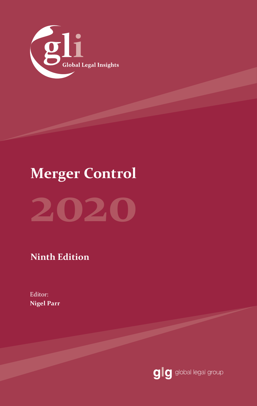

# **Merger Control**

# **2020**

**Ninth Edition**

Editor: **Nigel Parr** 

glg global legal group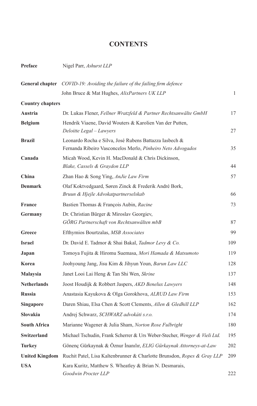## **CONTENTS**

| Preface                 | Nigel Parr, Ashurst LLP                                                                                               |     |
|-------------------------|-----------------------------------------------------------------------------------------------------------------------|-----|
|                         | <b>General chapter</b> COVID-19: Avoiding the failure of the failing firm defence                                     |     |
|                         | John Bruce & Mat Hughes, AlixPartners UK LLP                                                                          | 1   |
| <b>Country chapters</b> |                                                                                                                       |     |
| <b>Austria</b>          | Dr. Lukas Flener, Fellner Wratzfeld & Partner Rechtsanwälte GmbH                                                      | 17  |
| <b>Belgium</b>          | Hendrik Viaene, David Wouters & Karolien Van der Putten,<br>Deloitte Legal – Lawyers                                  | 27  |
| <b>Brazil</b>           | Leonardo Rocha e Silva, José Rubens Battazza Iasbech &<br>Fernanda Ribeiro Vasconcelos Merlo, Pinheiro Neto Advogados | 35  |
| Canada                  | Micah Wood, Kevin H. MacDonald & Chris Dickinson,<br>Blake, Cassels & Graydon LLP                                     | 44  |
| China                   | Zhan Hao & Song Ying, AnJie Law Firm                                                                                  | 57  |
| <b>Denmark</b>          | Olaf Koktvedgaard, Søren Zinck & Frederik André Bork,<br>Bruun & Hjejle Advokatpartnerselskab                         | 66  |
| <b>France</b>           | Bastien Thomas & François Aubin, Racine                                                                               | 73  |
| Germany                 | Dr. Christian Bürger & Miroslav Georgiev,<br>GÖRG Partnerschaft von Rechtsanwälten mbB                                | 87  |
| Greece                  | Efthymios Bourtzalas, MSB Associates                                                                                  | 99  |
| <b>Israel</b>           | Dr. David E. Tadmor & Shai Bakal, Tadmor Levy & Co.                                                                   | 109 |
| Japan                   | Tomoya Fujita & Hiromu Suemasa, Mori Hamada & Matsumoto                                                               | 119 |
| Korea                   | Joohyoung Jang, Jisu Kim & Jihyun Youn, Barun Law LLC                                                                 | 128 |
| Malaysia                | Janet Looi Lai Heng & Tan Shi Wen, Skrine                                                                             | 137 |
| <b>Netherlands</b>      | Joost Houdijk & Robbert Jaspers, AKD Benelux Lawyers                                                                  | 148 |
| <b>Russia</b>           | Anastasia Kayukova & Olga Gorokhova, ALRUD Law Firm                                                                   | 153 |
| Singapore               | Daren Shiau, Elsa Chen & Scott Clements, Allen & Gledhill LLP                                                         | 162 |
| Slovakia                | Andrej Schwarz, SCHWARZ advokáti s.r.o.                                                                               | 174 |
| <b>South Africa</b>     | Marianne Wagener & Julia Sham, Norton Rose Fulbright                                                                  | 180 |
| Switzerland             | Michael Tschudin, Frank Scherrer & Urs Weber-Stecher, Wenger & Vieli Ltd.                                             | 195 |
| <b>Turkey</b>           | Gönenç Gürkaynak & Öznur İnanılır, ELIG Gürkaynak Attorneys-at-Law                                                    | 202 |
| <b>United Kingdom</b>   | Ruchit Patel, Lisa Kaltenbrunner & Charlotte Brunsdon, Ropes & Gray LLP                                               | 209 |
| <b>USA</b>              | Kara Kuritz, Matthew S. Wheatley & Brian N. Desmarais,<br>Goodwin Procter LLP                                         | 222 |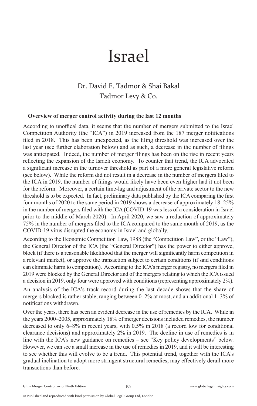# Israel

## Dr. David E. Tadmor & Shai Bakal Tadmor Levy & Co.

#### **Overview of merger control activity during the last 12 months**

According to unoffical data, it seems that the number of mergers submitted to the Israel Competition Authority (the "ICA") in 2019 increased from the 187 merger notifications filed in 2018. This has been unexpected, as the filing threshold was increased over the last year (see further elaboration below) and as such, a decrease in the number of filings was anticipated. Indeed, the number of merger filings has been on the rise in recent years reflecting the expansion of the Israeli economy. To counter that trend, the ICA advocated a significant increase in the turnover threshold as part of a more general legislative reform (see below). While the reform did not result in a decrease in the number of mergers filed to the ICA in 2019, the number of filings would likely have been even higher had it not been for the reform. Moreover, a certain time-lag and adjustment of the private sector to the new threshold is to be expected. In fact, preliminary data published by the ICA comparing the first four months of 2020 to the same period in 2019 shows a decrease of approximately 18–25% in the number of mergers filed with the ICA (COVID-19 was less of a consideration in Israel prior to the middle of March 2020). In April 2020, we saw a reduction of approximately 75% in the number of mergers filed to the ICA compared to the same month of 2019, as the COVID-19 virus disrupted the economy in Israel and globally.

According to the Economic Competition Law, 1988 (the "Competition Law", or the "Law"), the General Director of the ICA (the "General Director") has the power to either approve, block (if there is a reasonable likelihood that the merger will significantly harm competition in a relevant market), or approve the transaction subject to certain conditions (if said conditions can eliminate harm to competition). According to the ICA's merger registry, no mergers filed in 2019 were blocked by the General Director and of the mergers relating to which the ICA issued a decision in 2019, only four were approved with conditions (representing approximately 2%).

An analysis of the ICA's track record during the last decade shows that the share of mergers blocked is rather stable, ranging between 0–2% at most, and an additional 1–3% of notifications withdrawn.

Over the years, there has been an evident decrease in the use of remedies by the ICA. While in the years 2000–2005, approximately 18% of merger decisions included remedies, the number decreased to only 6–8% in recent years, with 0.5% in 2018 (a record low for conditional clearance decisions) and approximately 2% in 2019. The decline in use of remedies is in line with the ICA's new guidance on remedies – see "Key policy developments" below. However, we can see a small increase in the use of remedies in 2019, and it will be interesting to see whether this will evolve to be a trend. This potential trend, together with the ICA's gradual inclination to adopt more stringent structural remedies, may effectively derail more transactions than before.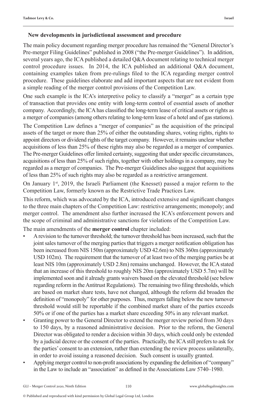#### **New developments in jurisdictional assessment and procedure**

The main policy document regarding merger procedure has remained the "General Director's Pre-merger Filing Guidelines" published in 2008 ("the Pre-merger Guidelines"). In addition, several years ago, the ICA published a detailed Q&A document relating to technical merger control procedure issues. In 2014, the ICA published an additional Q&A document, containing examples taken from pre-rulings filed to the ICA regarding merger control procedure. These guidelines elaborate and add important aspects that are not evident from a simple reading of the merger control provisions of the Competition Law.

One such example is the ICA's interpretive policy to classify a "merger" as a certain type of transaction that provides one entity with long-term control of essential assets of another company. Accordingly, the ICA has classified the long-term lease of critical assets or rights as a merger of companies (among others relating to long-term lease of a hotel and of gas stations).

The Competition Law defines a "merger of companies" as the acquisition of the principal assets of the target or more than 25% of either the outstanding shares, voting rights, rights to appoint directors or dividend rights of the target company. However, it remains unclear whether acquisitions of less than 25% of these rights may also be regarded as a merger of companies. The Pre-merger Guidelines offer limited certainty, suggesting that under specific circumstances, acquisitions of less than 25% of such rights, together with other holdings in a company, may be regarded as a merger of companies. The Pre-merger Guidelines also suggest that acquisitions of less than 25% of such rights may also be regarded as a restrictive arrangement.

On January  $1<sup>st</sup>$ , 2019, the Israeli Parliament (the Knesset) passed a major reform to the Competition Law, formerly known as the Restrictive Trade Practices Law.

This reform, which was advocated by the ICA, introduced extensive and significant changes to the three main chapters of the Competition Law: restrictive arrangements; monopoly; and merger control. The amendment also further increased the ICA's enforcement powers and the scope of criminal and administrative sanctions for violations of the Competition Law.

The main amendments of the **merger control** chapter included:

- A revision to the turnover threshold; the turnover threshold has been increased, such that the joint sales turnover of the merging parties that triggers a merger notification obligation has been increased from NIS 150m (approximately USD 42.6m) to NIS 360m (approximately USD 102m). The requirement that the turnover of at least two of the merging parties be at least NIS 10m (approximately USD 2.8m) remains unchanged. However, the ICA stated that an increase of this threshold to roughly NIS 20m (approximately USD 5.7m) will be implemented soon and it already grants waivers based on the elevated threshold (see below regarding reform in the Antitrust Regulations). The remaining two filing thresholds, which are based on market share tests, have not changed, although the reform did broaden the definition of "monopoly" for other purposes. Thus, mergers falling below the new turnover threshold would still be reportable if the combined market share of the parties exceeds 50% or if one of the parties has a market share exceeding 50% in any relevant market.
- Granting power to the General Director to extend the merger review period from 30 days to 150 days, by a reasoned administrative decision. Prior to the reform, the General Director was obligated to render a decision within 30 days, which could only be extended by a judicial decree or the consent of the parties. Practically, the ICA still prefers to ask for the parties' consent to an extension, rather than extending the review process unilaterally, in order to avoid issuing a reasoned decision. Such consent is usually granted.
- Applying merger control to non-profit associations by expanding the definition of "company" in the Law to include an "association" as defined in the Associations Law 5740–1980.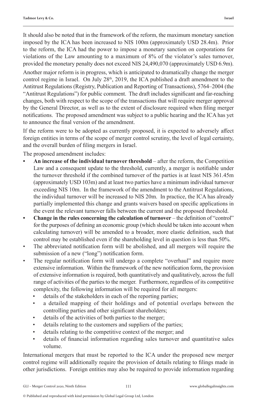It should also be noted that in the framework of the reform, the maximum monetary sanction imposed by the ICA has been increased to NIS 100m (approximately USD 28.4m). Prior to the reform, the ICA had the power to impose a monetary sanction on corporations for violations of the Law amounting to a maximum of 8% of the violator's sales turnover, provided the monetary penalty does not exceed NIS 24,490,070 (approximately USD 6.9m).

Another major reform is in progress, which is anticipated to dramatically change the merger control regime in Israel. On July  $28<sup>th</sup>$ ,  $2019$ , the ICA published a draft amendment to the Antitrust Regulations (Registry, Publication and Reporting of Transactions), 5764–2004 (the "Antitrust Regulations") for public comment. The draft includes significant and far-reaching changes, both with respect to the scope of the transactions that will require merger approval by the General Director, as well as to the extent of disclosure required when filing merger notifications. The proposed amendment was subject to a public hearing and the ICA has yet to announce the final version of the amendment.

If the reform were to be adopted as currently proposed, it is expected to adversely affect foreign entities in terms of the scope of merger control scrutiny, the level of legal certainty, and the overall burden of filing mergers in Israel.

The proposed amendment includes:

- **• An increase of the individual turnover threshold** after the reform, the Competition Law and a consequent update to the threshold, currently, a merger is notifiable under the turnover threshold if the combined turnover of the parties is at least NIS 361.45m (approximately USD 103m) and at least two parties have a minimum individual turnover exceeding NIS 10m. In the framework of the amendment to the Antitrust Regulations, the individual turnover will be increased to NIS 20m. In practice, the ICA has already partially implemented this change and grants waivers based on specific applications in the event the relevant turnover falls between the current and the proposed threshold.
- **• Change in the rules concerning the calculation of turnover** the definition of "control" for the purposes of defining an economic group (which should be taken into account when calculating turnover) will be amended to a broader, more elastic definition, such that control may be established even if the shareholding level in question is less than 50%.
- The abbreviated notification form will be abolished, and all mergers will require the submission of a new ("long") notification form.
- The regular notification form will undergo a complete "overhaul" and require more extensive information. Within the framework of the new notification form, the provision of extensive information is required, both quantitatively and qualitatively, across the full range of activities of the parties to the merger. Furthermore, regardless of its competitive complexity, the following information will be required for all mergers:
	- details of the stakeholders in each of the reporting parties;
	- a detailed mapping of their holdings and of potential overlaps between the controlling parties and other significant shareholders;
	- details of the activities of both parties to the merger;
	- details relating to the customers and suppliers of the parties;
	- details relating to the competitive context of the merger; and
	- details of financial information regarding sales turnover and quantitative sales volume.

International mergers that must be reported to the ICA under the proposed new merger control regime will additionally require the provision of details relating to filings made in other jurisdictions. Foreign entities may also be required to provide information regarding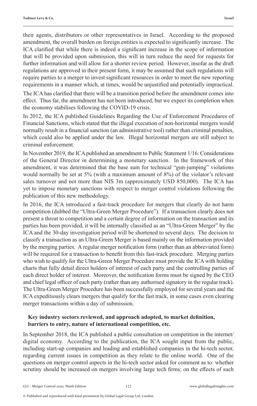their agents, distributors or other representatives in Israel. According to the proposed amendment, the overall burden on foreign entities is expected to significantly increase. The ICA clarified that while there is indeed a significant increase in the scope of information that will be provided upon submission, this will in turn reduce the need for requests for further information and will allow for a shorter review period. However, insofar as the draft regulations are approved in their present form, it may be assumed that such regulations will require parties to a merger to invest significant resources in order to meet the new reporting requirements in a manner which, at times, would be unjustified and potentially impractical.

The ICA has clarified that there will be a transition period before the amendment comes into effect. Thus far, the amendment has not been introduced, but we expect its completion when the economy stabilises following the COVID-19 crisis.

In 2012, the ICA published Guidelines Regarding the Use of Enforcement Procedures of Financial Sanctions, which stated that the illegal execution of non-horizontal mergers would normally result in a financial sanction (an administrative tool) rather than criminal penalties, which could also be applied under the law. Illegal horizontal mergers are still subject to criminal enforcement.

In November 2019, the ICA published an amendment to Public Statement 1/16: Considerations of the General Director in determining a monetary sanction. In the framework of this amendment, it was determined that the base sum for technical "gun-jumping" violations would normally be set at 5% (with a maximum amount of 8%) of the violator's relevant sales turnover and not more than NIS 3m (approximately USD 850,000). The ICA has yet to impose monetary sanctions with respect to merger control violations following the publication of this new methodology.

In 2016, the ICA introduced a fast-track procedure for mergers that clearly do not harm competition (dubbed the "Ultra-Green Merger Procedure"). If a transaction clearly does not present a threat to competition and a certain degree of information on the transaction and its parties has been provided, it will be internally classified as an "Ultra-Green Merger" by the ICA and the 30-day investigation period will be shortened to several days. The decision to classify a transaction as an Ultra-Green Merger is based mainly on the information provided by the merging parties. A regular merger notification form (rather than an abbreviated form) will be required for a transaction to benefit from this fast-track procedure. Merging parties who wish to qualify for the Ultra-Green Merger Procedure must provide the ICA with holding charts that fully detail direct holders of interest of each party and the controlling parties of each direct holder of interest. Moreover, the notification forms must be signed by the CEO and chief legal officer of each party (rather than any authorised signatory in the regular track). The Ultra-Green Merger Procedure has been successfully employed for several years and the ICA expeditiously clears mergers that qualify for the fast track, in some cases even clearing merger transactions within a day of submission.

#### **Key industry sectors reviewed, and approach adopted, to market definition, barriers to entry, nature of international competition, etc.**

In September 2018, the ICA published a public consultation on competition in the internet/ digital economy. According to the publication, the ICA sought input from the public, including start-up companies and leading and established companies in the hi-tech sector, regarding current issues in competition as they relate to the online world. One of the questions on merger control aspects in the hi-tech sector asked for comment as to: whether scrutiny should be increased on mergers involving large tech firms; on the effects of such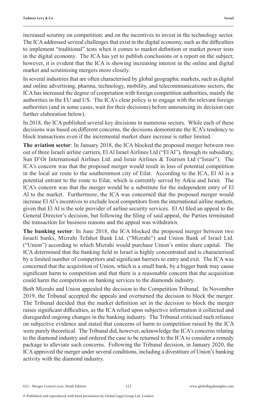increased scrutiny on competition; and on the incentives to invest in the technology sector. The ICA addressed several challenges that exist in the digital economy, such as the difficulties to implement "traditional" tests when it comes to market definition or market power tests in the digital economy. The ICA has yet to publish conclusions or a report on the subject; however, it is evident that the ICA is showing increasing interest in the online and digital market and scrutinising mergers more closely.

In several industries that are often characterised by global geographic markets, such as digital and online advertising, pharma, technology, mobility, and telecommunications sectors, the ICA has increased the degree of cooperation with foreign competition authorities, mainly the authorities in the EU and US. The ICA's clear policy is to engage with the relevant foreign authorities (and in some cases, wait for their decisions) before announcing its decision (see further elaboration below).

In 2018, the ICA published several key decisions in numerous sectors. While each of these decisions was based on different concerns, the decisions demonstrate the ICA's tendency to block transactions even if the incremental market share increase is rather limited.

**The aviation sector**: In January 2018, the ICA blocked the proposed merger between two out of three Israeli airline carriers, El Al Israel Airlines Ltd ("El Al"), through its subsidiary, Sun D'Or International Airlines Ltd. and Israir Airlines & Tourism Ltd ("Israir"). The ICA's concern was that the proposed merger would result in loss of potential competition in the local air route to the southernmost city of Eilat. According to the ICA, El Al is a potential entrant to the route to Eilat, which is currently served by Arkia and Israir. The ICA's concern was that the merger would be a substitute for the independent entry of El Al to the market. Furthermore, the ICA was concerned that the proposed merger would increase El Al's incentives to exclude local competitors from the international airline markets, given that El Al is the sole provider of airline security services. El Al filed an appeal to the General Director's decision, but following the filing of said appeal, the Parties terminated the transaction for business reasons and the appeal was withdrawn.

**The banking sector**: In June 2018, the ICA blocked the proposed merger between two Israeli banks, Mizrahi Tefahot Bank Ltd. ("Mizrahi") and Union Bank of Israel Ltd. ("Union") according to which Mizrahi would purchase Union's entire share capital. The ICA determined that the banking field in Israel is highly concentrated and is characterised by a limited number of competitors and significant barriers to entry and exit. The ICA was concerned that the acquisition of Union, which is a small bank, by a bigger bank may cause significant harm to competition and that there is a reasonable concern that the acquisition could harm the competition on banking services to the diamonds industry.

Both Mizrahi and Union appealed the decision to the Competition Tribunal. In November 2019, the Tribunal accepted the appeals and overturned the decision to block the merger. The Tribunal decided that the market definition set in the decision to block the merger raises significant difficulties, as the ICA relied upon subjective information it collected and disregarded ongoing changes in the banking industry. The Tribunal criticised such reliance on subjective evidence and stated that concerns of harm to competition raised by the ICA were purely theoretical. The Tribunal did, however, acknowledge the ICA's concerns relating to the diamond industry and ordered the case to be returned to the ICA to consider a remedy package to alleviate such concerns. Following the Tribunal decision, in January 2020, the ICA approved the merger under several conditions, including a divestiture of Union's banking activity with the diamond industry.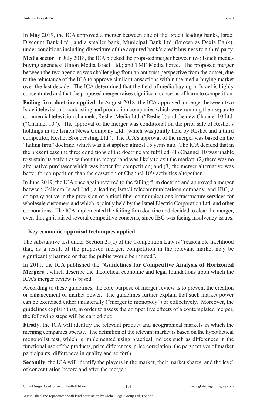In May 2019, the ICA approved a merger between one of the Israeli leading banks, Israel Discount Bank Ltd., and a smaller bank, Municipal Bank Ltd. (known as Dexia Bank), under conditions including divestiture of the acquired bank's credit business to a third party.

**Media sector**: In July 2018, the ICA blocked the proposed merger between two Israeli mediabuying agencies: Union Media Israel Ltd.; and TMF Media Force. The proposed merger between the two agencies was challenging from an antitrust perspective from the outset, due to the reluctance of the ICA to approve similar transactions within the media-buying market over the last decade. The ICA determined that the field of media buying in Israel is highly concentrated and that the proposed merger raises significant concerns of harm to competition.

**Failing firm doctrine applied**: In August 2018, the ICA approved a merger between two Israeli television broadcasting and production companies which were running their separate commercial television channels, Reshet Media Ltd. ("Reshet") and the new Channel 10 Ltd. ("Channel 10"). The approval of the merger was conditional on the prior sale of Reshet's holdings in the Israeli News Company Ltd. (which was jointly held by Reshet and a third competitor, Keshet Broadcasting Ltd.). The ICA's approval of the merger was based on the "failing firm" doctrine, which was last applied almost 15 years ago. The ICA decided that in the present case the three conditions of the doctrine are fulfilled: (1) Channel 10 was unable to sustain its activities without the merger and was likely to exit the market; (2) there was no alternative purchaser which was better for competition; and (3) the merger alternative was better for competition than the cessation of Channel 10's activities altogether.

In June 2019, the ICA once again referred to the failing firm doctrine and approved a merger between Cellcom Israel Ltd., a leading Israeli telecommunications company, and IBC, a company active in the provision of optical fiber communications infrastructure services for wholesale customers and which is jointly held by the Israel Electric Corporation Ltd. and other corporations. The ICA implemented the failing firm doctrine and decided to clear the merger, even though it raised several competitive concerns, since IBC was facing insolvency issues.

#### **Key economic appraisal techniques applied**

The substantive test under Section 21(a) of the Competition Law is "reasonable likelihood that, as a result of the proposed merger, competition in the relevant market may be significantly harmed or that the public would be injured".

In 2011, the ICA published the "**Guidelines for Competitive Analysis of Horizontal Mergers**", which describe the theoretical economic and legal foundations upon which the ICA's merger review is based.

According to these guidelines, the core purpose of merger review is to prevent the creation or enhancement of market power. The guidelines further explain that such market power can be exercised either unilaterally ("merger to monopoly") or collectively. Moreover, the guidelines explain that, in order to assess the competitive effects of a contemplated merger, the following steps will be carried out:

**Firstly**, the ICA will identify the relevant product and geographical markets in which the merging companies operate. The definition of the relevant market is based on the hypothetical monopolist test, which is implemented using practical indices such as differences in the functional use of the products, price differences, price correlation, the perspectives of market participants, differences in quality and so forth.

**Secondly**, the ICA will identify the players in the market, their market shares, and the level of concentration before and after the merger.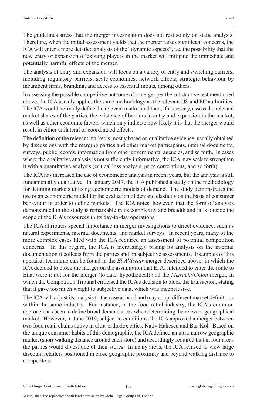The guidelines stress that the merger investigation does not rest solely on static analysis. Therefore, when the initial assessment yields that the merger raises significant concerns, the ICA will enter a more detailed analysis of the "dynamic aspects", i.e. the possibility that the new entry or expansion of existing players in the market will mitigate the immediate and potentially harmful effects of the merger.

The analysis of entry and expansion will focus on a variety of entry and switching barriers, including regulatory barriers, scale economics, network effects, strategic behaviour by incumbent firms, branding, and access to essential inputs, among others.

In assessing the possible competitive outcome of a merger per the substantive test mentioned above, the ICA usually applies the same methodology as the relevant US and EC authorities. The ICA would normally define the relevant market and then, if necessary, assess the relevant market shares of the parties, the existence of barriers to entry and expansion in the market, as well as other economic factors which may indicate how likely it is that the merger would result in either unilateral or coordinated effects.

The definition of the relevant market is mostly based on qualitative evidence, usually obtained by discussions with the merging parties and other market participants, internal documents, surveys, public records, information from other governmental agencies, and so forth. In cases where the qualitative analysis is not sufficiently informative, the ICA may seek to strengthen it with a quantitative analysis (critical loss analysis, price correlations, and so forth).

The ICA has increased the use of econometric analysis in recent years, but the analysis is still fundamentally qualitative. In January 2017, the ICA published a study on the methodology for defining markets utilising econometric models of demand. The study demonstrates the use of an econometric model for the evaluation of demand elasticity on the basis of consumer behaviour in order to define markets. The ICA notes, however, that the form of analysis demonstrated in the study is remarkable in its complexity and breadth and falls outside the scope of the ICA's resources in its day-to-day operations.

The ICA attributes special importance in merger investigations to direct evidence, such as natural experiments, internal documents, and market surveys. In recent years, many of the more complex cases filed with the ICA required an assessment of potential competition concerns. In this regard, the ICA is increasingly basing its analysis on the internal documentation it collects from the parties and on subjective assessments. Examples of this appraisal technique can be found in the *El Al/Israir* merger described above, in which the ICA decided to block the merger on the assumption that El Al intended to enter the route to Eilat were it not for the merger (to date, hypothetical) and the *Mizrachi/Union* merger, in which the Competition Tribunal criticised the ICA's decision to block the transaction, stating that it gave too much weight to subjective data, which was inconclusive.

The ICA will adjust its analysis to the case at hand and may adopt different market definitions within the same industry. For instance, in the food retail industry, the ICA's common approach has been to define broad demand areas when determining the relevant geographical market. However, in June 2019, subject to conditions, the ICA approved a merger between two food retail chains active in ultra-orthodox cities, Nativ Hahesed and Bar-Kol. Based on the unique consumer habits of this demographic, the ICA defined an ultra-narrow geographic market (short walking distance around each store) and accordingly required that in four areas the parties would divest one of their stores. In many areas, the ICA refused to view large discount retailers positioned in close geographic proximity and beyond walking distance to competitors.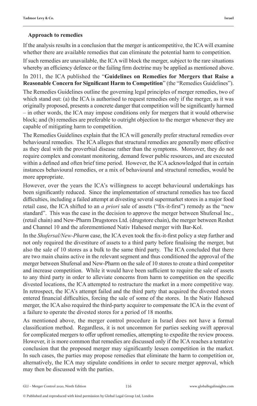#### **Approach to remedies**

If the analysis results in a conclusion that the merger is anticompetitive, the ICA will examine whether there are available remedies that can eliminate the potential harm to competition.

If such remedies are unavailable, the ICA will block the merger, subject to the rare situations whereby an efficiency defence or the failing firm doctrine may be applied as mentioned above. In 2011, the ICA published the "**Guidelines on Remedies for Mergers that Raise a** 

**Reasonable Concern for Significant Harm to Competition**" (the "Remedies Guidelines").

The Remedies Guidelines outline the governing legal principles of merger remedies, two of which stand out: (a) the ICA is authorised to request remedies only if the merger, as it was originally proposed, presents a concrete danger that competition will be significantly harmed – in other words, the ICA may impose conditions only for mergers that it would otherwise block; and (b) remedies are preferable to outright objection to the merger whenever they are capable of mitigating harm to competition.

The Remedies Guidelines explain that the ICA will generally prefer structural remedies over behavioural remedies. The ICA alleges that structural remedies are generally more effective as they deal with the proverbial disease rather than the symptoms. Moreover, they do not require complex and constant monitoring, demand fewer public resources, and are executed within a defined and often brief time period. However, the ICA acknowledged that in certain instances behavioural remedies, or a mix of behavioural and structural remedies, would be more appropriate.

However, over the years the ICA's willingness to accept behavioural undertakings has been significantly reduced. Since the implementation of structural remedies has too faced difficulties, including a failed attempt at divesting several supermarket stores in a major food retail case, the ICA shifted to an *a priori* sale of assets ("fix-it-first") remedy as the "new standard". This was the case in the decision to approve the merger between Shufersal Inc., (retail chain) and New-Pharm Drugstores Ltd. (drugstore chain), the merger between Reshet and Channel 10 and the aforementioned Nativ Hahesed merger with Bar-Kol.

In the *Shufersal/New-Pharm* case, the ICA even took the fix-it-first policy a step further and not only required the divestiture of assets to a third party before finalising the merger, but also the sale of 10 stores as a bulk to the same third party. The ICA concluded that there are two main chains active in the relevant segment and thus conditioned the approval of the merger between Shufersal and New-Pharm on the sale of 10 stores to create a third competitor and increase competition. While it would have been sufficient to require the sale of assets to any third party in order to alleviate concerns from harm to competition on the specific divested locations, the ICA attempted to restructure the market in a more competitive way. In retrospect, the ICA's attempt failed and the third party that acquired the divested stores entered financial difficulties, forcing the sale of some of the stores. In the Nativ Hahesed merger, the ICA also required the third-party acquirer to compensate the ICA in the event of a failure to operate the divested stores for a period of 18 months.

As mentioned above, the merger control procedure in Israel does not have a formal classification method. Regardless, it is not uncommon for parties seeking swift approval for complicated mergers to offer upfront remedies, attempting to expedite the review process. However, it is more common that remedies are discussed only if the ICA reaches a tentative conclusion that the proposed merger may significantly lessen competition in the market. In such cases, the parties may propose remedies that eliminate the harm to competition or, alternatively, the ICA may stipulate conditions in order to secure merger approval, which may then be discussed with the parties.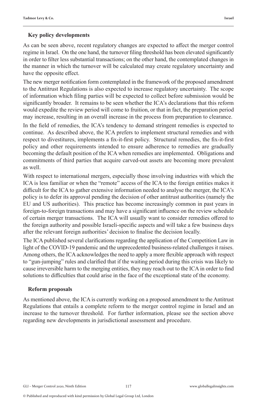#### **Key policy developments**

As can be seen above, recent regulatory changes are expected to affect the merger control regime in Israel. On the one hand, the turnover filing threshold has been elevated significantly in order to filter less substantial transactions; on the other hand, the contemplated changes in the manner in which the turnover will be calculated may create regulatory uncertainty and have the opposite effect.

The new merger notification form contemplated in the framework of the proposed amendment to the Antitrust Regulations is also expected to increase regulatory uncertainty. The scope of information which filing parties will be expected to collect before submission would be significantly broader. It remains to be seen whether the ICA's declarations that this reform would expedite the review period will come to fruition, or that in fact, the preparation period may increase, resulting in an overall increase in the process from preparation to clearance.

In the field of remedies, the ICA's tendency to demand stringent remedies is expected to continue. As described above, the ICA prefers to implement structural remedies and with respect to divestitures, implements a fix-it-first policy. Structural remedies, the fix-it-first policy and other requirements intended to ensure adherence to remedies are gradually becoming the default position of the ICA when remedies are implemented. Obligations and commitments of third parties that acquire carved-out assets are becoming more prevalent as well.

With respect to international mergers, especially those involving industries with which the ICA is less familiar or when the "remote" access of the ICA to the foreign entities makes it difficult for the ICA to gather extensive information needed to analyse the merger, the ICA's policy is to defer its approval pending the decision of other antitrust authorities (namely the EU and US authorities). This practice has become increasingly common in past years in foreign-to-foreign transactions and may have a significant influence on the review schedule of certain merger transactions. The ICA will usually want to consider remedies offered to the foreign authority and possible Israeli-specific aspects and will take a few business days after the relevant foreign authorities' decision to finalise the decision locally.

The ICA published several clarifications regarding the application of the Competition Law in light of the COVID-19 pandemic and the unprecedented business-related challenges it raises. Among others, the ICA acknowledges the need to apply a more flexible approach with respect to "gun-jumping" rules and clarified that if the waiting period during this crisis was likely to cause irreversible harm to the merging entities, they may reach out to the ICA in order to find solutions to difficulties that could arise in the face of the exceptional state of the economy.

#### **Reform proposals**

As mentioned above, the ICA is currently working on a proposed amendment to the Antitrust Regulations that entails a complete reform to the merger control regime in Israel and an increase to the turnover threshold. For further information, please see the section above regarding new developments in jurisdictional assessment and procedure.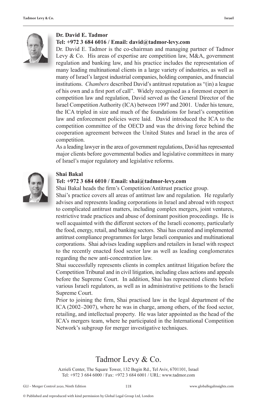

#### **Dr. David E. Tadmor**

#### **Tel: +972 3 684 6016 / Email: david@tadmor-levy.com**

Dr. David E. Tadmor is the co-chairman and managing partner of Tadmor Levy & Co. His areas of expertise are competition law, M&A, government regulation and banking law, and his practice includes the representation of many leading multinational clients in a large variety of industries, as well as many of Israel's largest industrial companies, holding companies, and financial institutions. *Chambers* described David's antitrust reputation as "(in) a league of his own and a first port of call". Widely recognised as a foremost expert in competition law and regulation, David served as the General Director of the Israel Competition Authority (ICA) between 1997 and 2001. Under his tenure, the ICA tripled in size and much of the foundations for Israel's competition law and enforcement policies were laid. David introduced the ICA to the competition committee of the OECD and was the driving force behind the cooperation agreement between the United States and Israel in the area of competition.

As a leading lawyer in the area of government regulations, David has represented major clients before governmental bodies and legislative committees in many of Israel's major regulatory and legislative reforms.



#### **Shai Bakal**

#### **Tel: +972 3 684 6010 / Email: shai@tadmor-levy.com**

Shai Bakal heads the firm's Competition/Antitrust practice group.

Shai's practice covers all areas of antitrust law and regulation. He regularly advises and represents leading corporations in Israel and abroad with respect to complicated antitrust matters, including complex mergers, joint ventures, restrictive trade practices and abuse of dominant position proceedings. He is well acquainted with the different sectors of the Israeli economy, particularly the food, energy, retail, and banking sectors. Shai has created and implemented antitrust compliance programmes for large Israeli companies and multinational corporations. Shai advises leading suppliers and retailers in Israel with respect to the recently enacted food sector law as well as leading conglomerates regarding the new anti-concentration law.

Shai successfully represents clients in complex antitrust litigation before the Competition Tribunal and in civil litigation, including class actions and appeals before the Supreme Court. In addition, Shai has represented clients before various Israeli regulators, as well as in administrative petitions to the Israeli Supreme Court.

Prior to joining the firm, Shai practised law in the legal department of the ICA (2002–2007), where he was in charge, among others, of the food sector, retailing, and intellectual property. He was later appointed as the head of the ICA's mergers team, where he participated in the International Competition Network's subgroup for merger investigative techniques.

### Tadmor Levy & Co.

Azrieli Center, The Square Tower, 132 Begin Rd., Tel Aviv, 6701101, Israel Tel: +972 3 684 6000 / Fax: +972 3 684 6001 / URL: www.tadmor.com